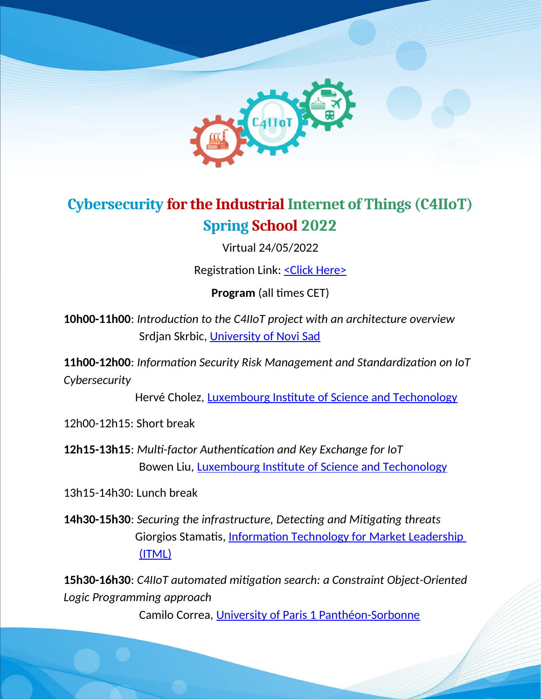

### **Cybersecurity for the Industrial Internet of Things (C4IIoT) Spring School 2022**

Virtual 24/05/2022

Registration Link: < Click Here>

**Program** (all times CET)

**10h00-11h00**: *Introduction to the C4IIoT project with an architecture overview* Srdjan Skrbic, [University of Novi Sad](http://www.is.pmf.uns.ac.rs/)

**11h00-12h00**: *Information Security Risk Management and Standardization on IoT Cybersecurity*

Hervé Cholez, [Luxembourg Institute of Science and Techonology](https://www.list.lu/)

12h00-12h15: Short break

**12h15-13h15**: *Multi-factor Authentication and Key Exchange for IoT* Bowen Liu, [Luxembourg Institute of Science and Techonology](https://www.list.lu/)

13h15-14h30: Lunch break

**14h30-15h30**: *Securing the infrastructure, Detecting and Mitigating threats* Giorgios Stamatis, Information Technology for Market Leadership [\(ITML\)](https://itml.gr/)

**15h30-16h30**: *C4IIoT automated mitigation search: a Constraint Object-Oriented Logic Programming approach*

Camilo Correa, [University of Paris 1 Panthéon-Sorbonne](https://www.pantheonsorbonne.fr/)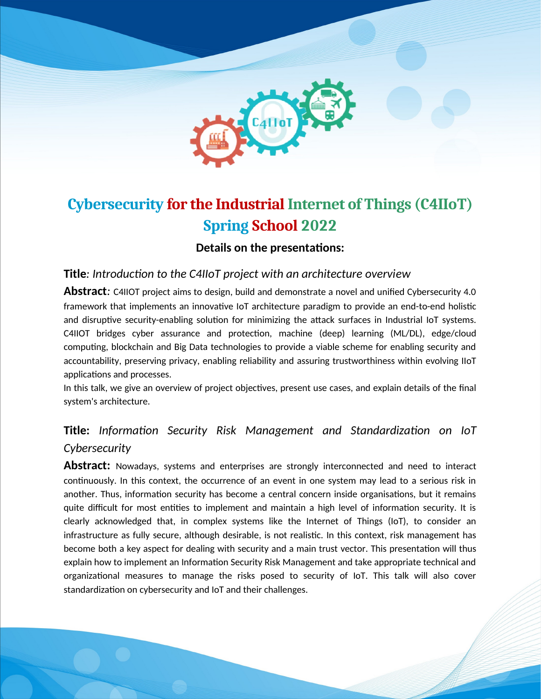

# **Cybersecurity for the Industrial Internet of Things (C4IIoT) Spring School 2022**

**Details on the presentations:**

**Title***: Introduction to the C4IIoT project with an architecture overview*

**Abstract***:* C4IIOT project aims to design, build and demonstrate a novel and unified Cybersecurity 4.0 framework that implements an innovative IoT architecture paradigm to provide an end-to-end holistic and disruptive security-enabling solution for minimizing the attack surfaces in Industrial IoT systems. C4IIOT bridges cyber assurance and protection, machine (deep) learning (ML/DL), edge/cloud computing, blockchain and Big Data technologies to provide a viable scheme for enabling security and accountability, preserving privacy, enabling reliability and assuring trustworthiness within evolving IIoT applications and processes.

In this talk, we give an overview of project objectives, present use cases, and explain details of the final system's architecture.

### **Title:** *Information Security Risk Management and Standardization on IoT Cybersecurity*

Abstract: Nowadays, systems and enterprises are strongly interconnected and need to interact continuously. In this context, the occurrence of an event in one system may lead to a serious risk in another. Thus, information security has become a central concern inside organisations, but it remains quite difficult for most entities to implement and maintain a high level of information security. It is clearly acknowledged that, in complex systems like the Internet of Things (IoT), to consider an infrastructure as fully secure, although desirable, is not realistic. In this context, risk management has become both a key aspect for dealing with security and a main trust vector. This presentation will thus explain how to implement an Information Security Risk Management and take appropriate technical and organizational measures to manage the risks posed to security of IoT. This talk will also cover standardization on cybersecurity and IoT and their challenges.